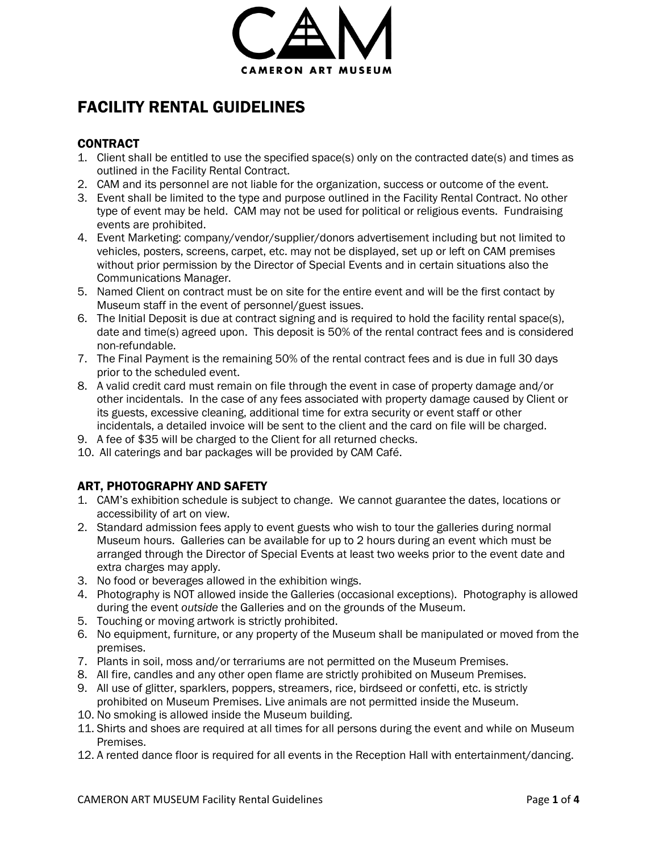

# FACILITY RENTAL GUIDELINES

# **CONTRACT**

- 1. Client shall be entitled to use the specified space(s) only on the contracted date(s) and times as outlined in the Facility Rental Contract.
- 2. CAM and its personnel are not liable for the organization, success or outcome of the event.
- 3. Event shall be limited to the type and purpose outlined in the Facility Rental Contract. No other type of event may be held. CAM may not be used for political or religious events. Fundraising events are prohibited.
- 4. Event Marketing: company/vendor/supplier/donors advertisement including but not limited to vehicles, posters, screens, carpet, etc. may not be displayed, set up or left on CAM premises without prior permission by the Director of Special Events and in certain situations also the Communications Manager.
- 5. Named Client on contract must be on site for the entire event and will be the first contact by Museum staff in the event of personnel/guest issues.
- 6. The Initial Deposit is due at contract signing and is required to hold the facility rental space(s), date and time(s) agreed upon. This deposit is 50% of the rental contract fees and is considered non-refundable.
- 7. The Final Payment is the remaining 50% of the rental contract fees and is due in full 30 days prior to the scheduled event.
- 8. A valid credit card must remain on file through the event in case of property damage and/or other incidentals. In the case of any fees associated with property damage caused by Client or its guests, excessive cleaning, additional time for extra security or event staff or other incidentals, a detailed invoice will be sent to the client and the card on file will be charged.
- 9. A fee of \$35 will be charged to the Client for all returned checks.
- 10. All caterings and bar packages will be provided by CAM Café.

# ART, PHOTOGRAPHY AND SAFETY

- 1. CAM's exhibition schedule is subject to change. We cannot guarantee the dates, locations or accessibility of art on view.
- 2. Standard admission fees apply to event guests who wish to tour the galleries during normal Museum hours. Galleries can be available for up to 2 hours during an event which must be arranged through the Director of Special Events at least two weeks prior to the event date and extra charges may apply.
- 3. No food or beverages allowed in the exhibition wings.
- 4. Photography is NOT allowed inside the Galleries (occasional exceptions). Photography is allowed during the event *outside* the Galleries and on the grounds of the Museum.
- 5. Touching or moving artwork is strictly prohibited.
- 6. No equipment, furniture, or any property of the Museum shall be manipulated or moved from the premises.
- 7. Plants in soil, moss and/or terrariums are not permitted on the Museum Premises.
- 8. All fire, candles and any other open flame are strictly prohibited on Museum Premises.
- 9. All use of glitter, sparklers, poppers, streamers, rice, birdseed or confetti, etc. is strictly prohibited on Museum Premises. Live animals are not permitted inside the Museum.
- 10. No smoking is allowed inside the Museum building.
- 11. Shirts and shoes are required at all times for all persons during the event and while on Museum Premises.
- 12. A rented dance floor is required for all events in the Reception Hall with entertainment/dancing.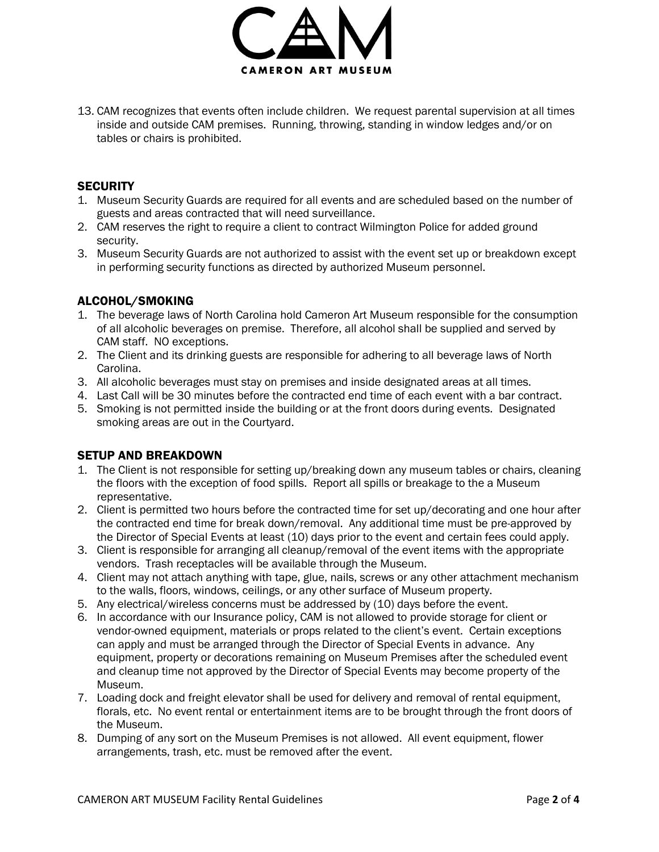

13. CAM recognizes that events often include children. We request parental supervision at all times inside and outside CAM premises. Running, throwing, standing in window ledges and/or on tables or chairs is prohibited.

#### **SECURITY**

- 1. Museum Security Guards are required for all events and are scheduled based on the number of guests and areas contracted that will need surveillance.
- 2. CAM reserves the right to require a client to contract Wilmington Police for added ground security.
- 3. Museum Security Guards are not authorized to assist with the event set up or breakdown except in performing security functions as directed by authorized Museum personnel.

## ALCOHOL/SMOKING

- 1. The beverage laws of North Carolina hold Cameron Art Museum responsible for the consumption of all alcoholic beverages on premise. Therefore, all alcohol shall be supplied and served by CAM staff. NO exceptions.
- 2. The Client and its drinking guests are responsible for adhering to all beverage laws of North Carolina.
- 3. All alcoholic beverages must stay on premises and inside designated areas at all times.
- 4. Last Call will be 30 minutes before the contracted end time of each event with a bar contract.
- 5. Smoking is not permitted inside the building or at the front doors during events. Designated smoking areas are out in the Courtyard.

#### SETUP AND BREAKDOWN

- 1. The Client is not responsible for setting up/breaking down any museum tables or chairs, cleaning the floors with the exception of food spills. Report all spills or breakage to the a Museum representative.
- 2. Client is permitted two hours before the contracted time for set up/decorating and one hour after the contracted end time for break down/removal. Any additional time must be pre-approved by the Director of Special Events at least (10) days prior to the event and certain fees could apply.
- 3. Client is responsible for arranging all cleanup/removal of the event items with the appropriate vendors. Trash receptacles will be available through the Museum.
- 4. Client may not attach anything with tape, glue, nails, screws or any other attachment mechanism to the walls, floors, windows, ceilings, or any other surface of Museum property.
- 5. Any electrical/wireless concerns must be addressed by (10) days before the event.
- 6. In accordance with our Insurance policy, CAM is not allowed to provide storage for client or vendor-owned equipment, materials or props related to the client's event. Certain exceptions can apply and must be arranged through the Director of Special Events in advance. Any equipment, property or decorations remaining on Museum Premises after the scheduled event and cleanup time not approved by the Director of Special Events may become property of the Museum.
- 7. Loading dock and freight elevator shall be used for delivery and removal of rental equipment, florals, etc. No event rental or entertainment items are to be brought through the front doors of the Museum.
- 8. Dumping of any sort on the Museum Premises is not allowed. All event equipment, flower arrangements, trash, etc. must be removed after the event.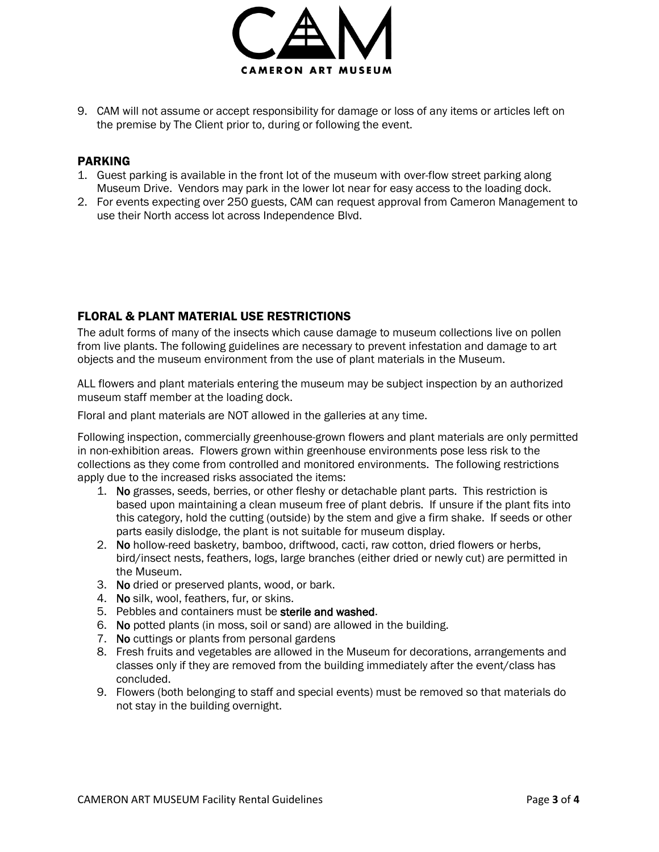

9. CAM will not assume or accept responsibility for damage or loss of any items or articles left on the premise by The Client prior to, during or following the event.

#### PARKING

- 1. Guest parking is available in the front lot of the museum with over-flow street parking along Museum Drive. Vendors may park in the lower lot near for easy access to the loading dock.
- 2. For events expecting over 250 guests, CAM can request approval from Cameron Management to use their North access lot across Independence Blvd.

## FLORAL & PLANT MATERIAL USE RESTRICTIONS

The adult forms of many of the insects which cause damage to museum collections live on pollen from live plants. The following guidelines are necessary to prevent infestation and damage to art objects and the museum environment from the use of plant materials in the Museum.

ALL flowers and plant materials entering the museum may be subject inspection by an authorized museum staff member at the loading dock.

Floral and plant materials are NOT allowed in the galleries at any time.

Following inspection, commercially greenhouse-grown flowers and plant materials are only permitted in non-exhibition areas. Flowers grown within greenhouse environments pose less risk to the collections as they come from controlled and monitored environments. The following restrictions apply due to the increased risks associated the items:

- 1. No grasses, seeds, berries, or other fleshy or detachable plant parts. This restriction is based upon maintaining a clean museum free of plant debris. If unsure if the plant fits into this category, hold the cutting (outside) by the stem and give a firm shake. If seeds or other parts easily dislodge, the plant is not suitable for museum display.
- 2. No hollow-reed basketry, bamboo, driftwood, cacti, raw cotton, dried flowers or herbs, bird/insect nests, feathers, logs, large branches (either dried or newly cut) are permitted in the Museum.
- 3. No dried or preserved plants, wood, or bark.
- 4. No silk, wool, feathers, fur, or skins.
- 5. Pebbles and containers must be sterile and washed.
- 6. No potted plants (in moss, soil or sand) are allowed in the building.
- 7. No cuttings or plants from personal gardens
- 8. Fresh fruits and vegetables are allowed in the Museum for decorations, arrangements and classes only if they are removed from the building immediately after the event/class has concluded.
- 9. Flowers (both belonging to staff and special events) must be removed so that materials do not stay in the building overnight.